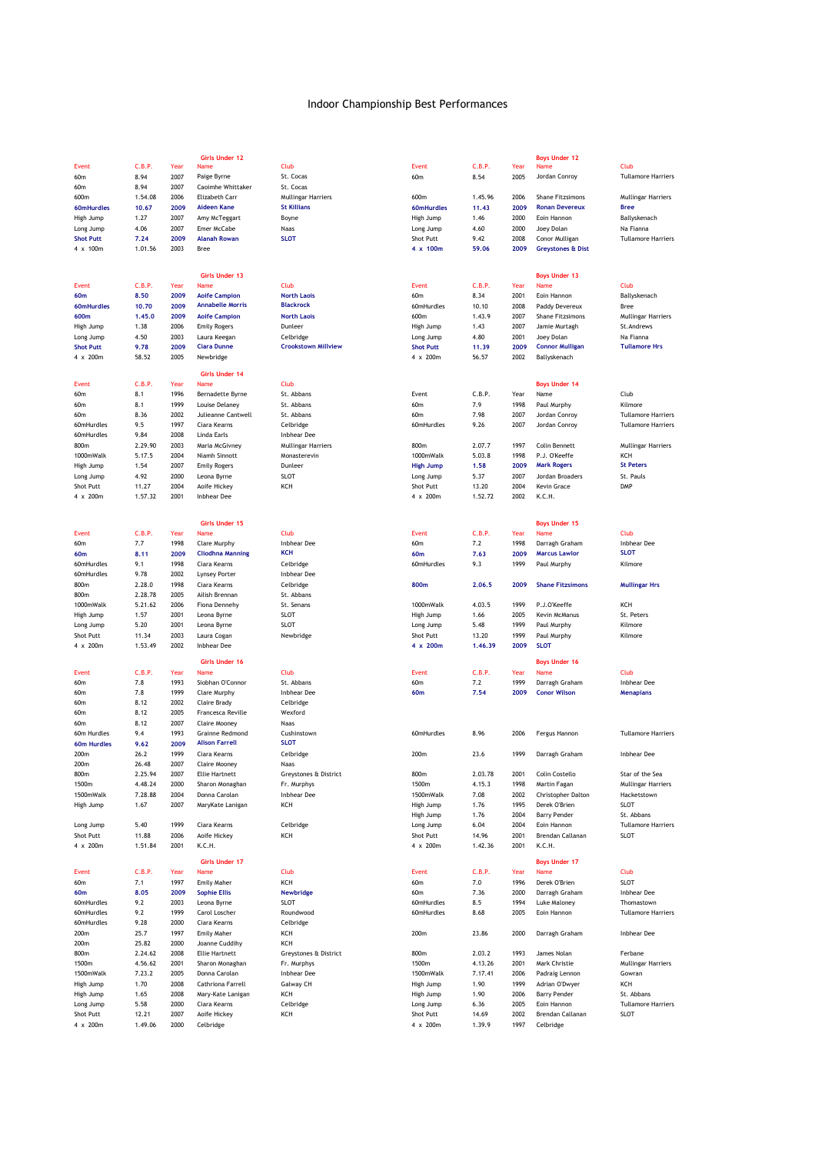|                         |              |              | Girls Under 12                     |                                         |                  |         |      | <b>Boys Under 12</b>         |                                  |
|-------------------------|--------------|--------------|------------------------------------|-----------------------------------------|------------------|---------|------|------------------------------|----------------------------------|
| Event                   | C.B.P.       | Year         | Name                               | Club                                    | Event            | C.B.P.  | Year | Name                         | Club                             |
| 60m                     | 8.94         | 2007         | Paige Byrne                        | St. Cocas                               | 60m              | 8.54    | 2005 | Jordan Conroy                | <b>Tullamore Harriers</b>        |
| 60m                     | 8.94         | 2007         | Caoimhe Whittaker                  | St. Cocas                               |                  |         |      |                              |                                  |
| 600m                    | 1.54.08      | 2006         | Elizabeth Carr                     | <b>Mullingar Harriers</b>               | 600m             | 1.45.96 | 2006 | <b>Shane Fitzsimons</b>      | <b>Mullingar Harriers</b>        |
|                         |              | 2009         | <b>Aideen Kane</b>                 | <b>St Killians</b>                      |                  | 11.43   | 2009 | <b>Ronan Devereux</b>        | <b>Bree</b>                      |
| 60mHurdles<br>High Jump | 10.67        | 2007         |                                    |                                         | 60mHurdles       |         | 2000 | Eoin Hannon                  |                                  |
|                         | 1.27         |              | Amy McTeggart                      | Boyne                                   | High Jump        | 1.46    |      |                              | Ballyskenach                     |
| Long Jump               | 4.06         | 2007         | Emer McCabe                        | Naas                                    | Long Jump        | 4.60    | 2000 | Joey Dolan                   | Na Fianna                        |
| <b>Shot Putt</b>        | 7.24         | 2009         | <b>Alanah Rowan</b>                | <b>SLOT</b>                             | Shot Putt        | 9.42    | 2008 | Conor Mulligan               | <b>Tullamore Harriers</b>        |
| 4 x 100m                | 1.01.56      | 2003         | Bree                               |                                         | 4 x 100m         | 59.06   | 2009 | <b>Greystones &amp; Dist</b> |                                  |
|                         |              |              |                                    |                                         |                  |         |      |                              |                                  |
|                         |              |              | <b>Girls Under 13</b>              |                                         |                  |         |      | <b>Boys Under 13</b>         |                                  |
| Event                   | C.B.P.       | Year         | Name                               | Club                                    | Event            | C.B.P.  | Year | Name                         | Club                             |
| 60m                     | 8.50         | 2009         | <b>Aoife Campion</b>               | <b>North Laois</b>                      | 60m              | 8.34    | 2001 | Eoin Hannon                  | Ballyskenach                     |
| 60mHurdles              | 10.70        | 2009         | <b>Annabelle Morris</b>            | <b>Blackrock</b>                        | 60mHurdles       | 10.10   | 2008 | Paddy Devereux               | Bree                             |
|                         | 1.45.0       | 2009         |                                    |                                         | 600m             |         | 2007 | Shane Fitzsimons             |                                  |
| 600m                    |              |              | <b>Aoife Campion</b>               | <b>North Laois</b><br>Dunleer           |                  | 1.43.9  |      |                              | Mullingar Harriers<br>St.Andrews |
| High Jump               | 1.38         | 2006         | <b>Emily Rogers</b>                |                                         | High Jump        | 1.43    | 2007 | Jamie Murtagh                | Na Fianna                        |
| Long Jump               | 4.50         | 2003         | Laura Keegan<br><b>Ciara Dunne</b> | Celbridge<br><b>Crookstown Millview</b> | Long Jump        | 4.80    | 2001 | Joey Dolan                   | <b>Tullamore Hrs</b>             |
| <b>Shot Putt</b>        | 9.78         | 2009         |                                    |                                         | <b>Shot Putt</b> | 11.39   | 2009 | <b>Connor Mulligan</b>       |                                  |
| 4 x 200m                | 58.52        | 2005         | Newbridge                          |                                         | 4 x 200m         | 56.57   | 2002 | Ballyskenach                 |                                  |
|                         |              |              | <b>Girls Under 14</b>              |                                         |                  |         |      |                              |                                  |
| <b>Event</b>            | C.B.P.       | Year         | Name                               | Club                                    |                  |         |      | <b>Boys Under 14</b>         |                                  |
| 60m                     | 8.1          | 1996         | Bernadette Byrne                   | St. Abbans                              | Event            | C.B.P.  | Year | Name                         | Club                             |
| 60 <sub>m</sub>         | 8.1          | 1999         | Louise Delaney                     | St. Abbans                              | 60m              | 7.9     | 1998 | Paul Murphy                  | Kilmore                          |
| 60m                     | 8.36         | 2002         | Julieanne Cantwell                 | St. Abbans                              | 60m              | 7.98    | 2007 | Jordan Conroy                | <b>Tullamore Harriers</b>        |
| 60mHurdles              | 9.5          | 1997         | Ciara Kearns                       | Celbridge                               | 60mHurdles       | 9.26    | 2007 | Jordan Conroy                | <b>Tullamore Harriers</b>        |
| 60mHurdles              | 9.84         | 2008         | Linda Earls                        | Inbhear Dee                             |                  |         |      |                              |                                  |
| 800m                    | 2.29.90      | 2003         | Maria McGivney                     | <b>Mullingar Harriers</b>               | 800m             | 2.07.7  | 1997 | <b>Colin Bennett</b>         | <b>Mullingar Harriers</b>        |
| 1000mWalk               | 5.17.5       | 2004         | Niamh Sinnott                      | Monasterevin                            | 1000mWalk        | 5.03.8  | 1998 | P.J. O'Keeffe                | KCH                              |
|                         |              |              |                                    |                                         |                  |         |      | <b>Mark Rogers</b>           | <b>St Peters</b>                 |
| High Jump               | 1.54         | 2007         | <b>Emily Rogers</b>                | Dunleer                                 | <b>High Jump</b> | 1.58    | 2009 |                              | St. Pauls                        |
| Long Jump               | 4.92         | 2000         | Leona Byrne                        | <b>SLOT</b>                             | Long Jump        | 5.37    | 2007 | Jordan Broaders              |                                  |
| Shot Putt               | 11.27        | 2004         | Aoife Hickey                       | KCH                                     | Shot Putt        | 13.20   | 2004 | <b>Kevin Grace</b>           | <b>DMP</b>                       |
| 4 x 200m                | 1.57.32      | 2001         | <b>Inbhear Dee</b>                 |                                         | 4 x 200m         | 1.52.72 | 2002 | K.C.H.                       |                                  |
|                         |              |              |                                    |                                         |                  |         |      |                              |                                  |
|                         |              |              | <b>Girls Under 15</b>              |                                         |                  |         |      | <b>Boys Under 15</b>         |                                  |
| Event                   | C.B.P.       | Year         | Name                               | Club                                    | Event            | C.B.P.  | Year | Name                         | Club                             |
| 60m                     | 7.7          | 1998         | Clare Murphy                       | <b>Inbhear Dee</b>                      | 60m              | 7.2     | 1998 | Darragh Graham               | <b>Inbhear Dee</b>               |
| 60m                     | 8.11         | 2009         | <b>Cliodhna Manning</b>            | <b>KCH</b>                              | 60m              | 7.63    | 2009 | <b>Marcus Lawlor</b>         | <b>SLOT</b>                      |
| 60mHurdles              | 9.1          | 1998         | Ciara Kearns                       | Celbridge                               | 60mHurdles       | 9.3     | 1999 | Paul Murphy                  | Kilmore                          |
|                         |              |              |                                    |                                         |                  |         |      |                              |                                  |
| 60mHurdles              | 9.78         | 2002         | Lynsey Porter                      | Inbhear Dee                             |                  |         |      |                              |                                  |
| 800m                    | 2.28.0       | 1998         | Ciara Kearns                       | Celbridge                               | 800m             | 2.06.5  | 2009 | <b>Shane Fitzsimons</b>      | <b>Mullingar Hrs</b>             |
| 800m                    | 2.28.78      | 2005         | Ailish Brennan                     | St. Abbans                              |                  |         |      |                              |                                  |
| 1000mWalk               | 5.21.62      | 2006         | Fiona Dennehy                      | St. Senans                              | 1000mWalk        | 4.03.5  | 1999 | P.J.O'Keeffe                 | KCH                              |
| High Jump               | 1.57         | 2001         | Leona Byrne                        | SLOT                                    | High Jump        | 1.66    | 2005 | Kevin McManus                | St. Peters                       |
| Long Jump               | 5.20         | 2001         | Leona Byrne                        | SLOT                                    | Long Jump        | 5.48    | 1999 | Paul Murphy                  | Kilmore                          |
| Shot Putt               | 11.34        | 2003         | Laura Cogan                        | Newbridge                               | Shot Putt        | 13.20   | 1999 | Paul Murphy                  | Kilmore                          |
| 4 x 200m                | 1.53.49      | 2002         | Inbhear Dee                        |                                         | 4 x 200m         | 1.46.39 | 2009 | <b>SLOT</b>                  |                                  |
|                         |              |              | Girls Under 16                     |                                         |                  |         |      | <b>Boys Under 16</b>         |                                  |
| <b>Event</b>            | C.B.P.       | Year         | Name                               | Club                                    | Event            | C.B.P.  | Year | Name                         | Club                             |
| 60m                     | 7.8          | 1993         | Siobhan O'Connor                   | St. Abbans                              | 60m              | 7.2     | 1999 | Darragh Graham               | Inbhear Dee                      |
| 60m                     | 7.8          | 1999         | Clare Murphy                       | Inbhear Dee                             | 60m              | 7.54    | 2009 | <b>Conor Wilson</b>          | <b>Menapians</b>                 |
|                         |              |              |                                    |                                         |                  |         |      |                              |                                  |
| 60m<br>60m              | 8.12<br>8.12 | 2002<br>2005 | Claire Brady<br>Francesca Reville  | Celbridge<br>Wexford                    |                  |         |      |                              |                                  |
| 60 <sub>m</sub>         | 8.12         | 2007         | Claire Mooney                      | Naas                                    |                  |         |      |                              |                                  |
|                         |              | 1993         | <b>Grainne Redmond</b>             |                                         | 60mHurdles       |         |      |                              |                                  |
| 60m Hurdles             | 9.4          |              | <b>Alison Farrell</b>              | Cushinstown<br><b>SLOT</b>              |                  | 8.96    | 2006 | Fergus Hannon                | <b>Tullamore Harriers</b>        |
| 60m Hurdles             | 9.62         | 2009         |                                    |                                         | 200m             |         |      |                              | Inhhear Dee                      |
| 200m                    | 26.2         | 1999         | Ciara Kearns                       | Celbridge                               |                  | 23.6    | 1999 | Darragh Graham               |                                  |
| 200m                    | 26.48        | 2007         | Claire Mooney                      | Naas                                    |                  |         |      |                              |                                  |
| 800m                    | 2.25.94      | 2007         | <b>Ellie Hartnett</b>              | Greystones & District                   | 800m             | 2.03.78 | 2001 | Colin Costello               | Star of the Sea                  |
| 1500m                   | 4.48.24      | 2000         | Sharon Monaghan                    | Fr. Murphys<br><b>Inbhear Dee</b>       | 1500m            | 4.15.3  | 1998 | Martin Fagan                 | Mullingar Harriers               |
| 1500mWalk               | 7.28.88      | 2004         | Donna Carolan                      |                                         | 1500mWalk        | 7.08    | 2002 | Christopher Dalton           | Hacketstown                      |
| High Jump               | 1.67         | 2007         | MaryKate Lanigan                   | KCH                                     | High Jump        | 1.76    | 1995 | Derek O'Brien                | <b>SLOT</b>                      |
|                         |              |              |                                    |                                         | High Jump        | 1.76    | 2004 | <b>Barry Pender</b>          | St. Abbans                       |
| Long Jump               | 5.40         | 1999         | Ciara Kearns                       | Celbridge                               | Long Jump        | 6.04    | 2004 | Eoin Hannon                  | <b>Tullamore Harriers</b>        |
| Shot Putt               | 11.88        | 2006         | Aoife Hickey                       | KCH                                     | Shot Putt        | 14.96   | 2001 | Brendan Callanan             | <b>SLOT</b>                      |
| 4 x 200m                | 1.51.84      | 2001         | K.C.H.                             |                                         | 4 x 200m         | 1.42.36 | 2001 | K.C.H.                       |                                  |
|                         |              |              | <b>Girls Under 17</b>              |                                         |                  |         |      |                              |                                  |
| Event                   | C.B.P.       | Year         | Name                               | Club                                    | Event            | C.B.P.  | Year | <b>Boys Under 17</b><br>Name | Club                             |
|                         |              |              |                                    |                                         |                  |         |      |                              |                                  |
| 60m                     | 7.1          | 1997         | Emily Maher                        | KCH                                     | 60m              | 7.0     | 1996 | Derek O'Brien                | <b>SLOT</b>                      |
| 60m                     | 8.05         | 2009         | <b>Sophie Ellis</b>                | Newbridge                               | 60m              | 7.36    | 2000 | Darragh Graham               | Inbhear Dee                      |
| 60mHurdles              | 9.2          | 2003         | Leona Byrne                        | SLOT                                    | 60mHurdles       | 8.5     | 1994 | Luke Maloney                 | Thomastown                       |
| 60mHurdles              | 9.2          | 1999         | Carol Loscher                      | Roundwood                               | 60mHurdles       | 8.68    | 2005 | Eoin Hannon                  | <b>Tullamore Harriers</b>        |
| 60mHurdles              | 9.28         | 2000         | Ciara Kearns                       | Celbridge                               |                  |         |      |                              |                                  |
| 200m                    | 25.7         | 1997         | <b>Emily Maher</b>                 | KCH                                     | 200m             | 23.86   | 2000 | Darragh Graham               | <b>Inbhear Dee</b>               |
| 200m                    | 25.82        | 2000         | Joanne Cuddihy                     | KCH                                     |                  |         |      |                              |                                  |
| 800m                    | 2.24.62      | 2008         | <b>Ellie Hartnett</b>              | Greystones & District                   | 800m             | 2.03.2  | 1993 | James Nolan                  | Ferbane                          |
| 1500m                   | 4.56.62      | 2001         | Sharon Monaghan                    | Fr. Murphys                             | 1500m            | 4.13.26 | 2001 | Mark Christie                | Mullingar Harriers               |
| 1500mWalk               | 7.23.2       | 2005         | Donna Carolan                      | Inbhear Dee                             | 1500mWalk        | 7.17.41 | 2006 | Padraig Lennon               | Gowran                           |
| High Jump               | 1.70         | 2008         | Cathriona Farrell                  | Galway CH                               | High Jump        | 1.90    | 1999 | Adrian O'Dwyer               | KCH                              |
| High Jump               | 1.65         | 2008         | Mary-Kate Lanigan                  | KCH                                     | High Jump        | 1.90    | 2006 | <b>Barry Pender</b>          | St. Abbans                       |
| Long Jump               | 5.58         | 2000         | Ciara Kearns                       | Celbridge                               | Long Jump        | 6.36    | 2005 | Eoin Hannon                  | <b>Tullamore Harriers</b>        |
| Shot Putt               | 12.21        | 2007         | Aoife Hickey                       | KCH                                     | Shot Putt        | 14.69   | 2002 | Brendan Callanan             | <b>SLOT</b>                      |
| 4 x 200m                | 1.49.06      | 2000         | Celbridge                          |                                         | 4 x 200m         | 1.39.9  | 1997 | Celbridge                    |                                  |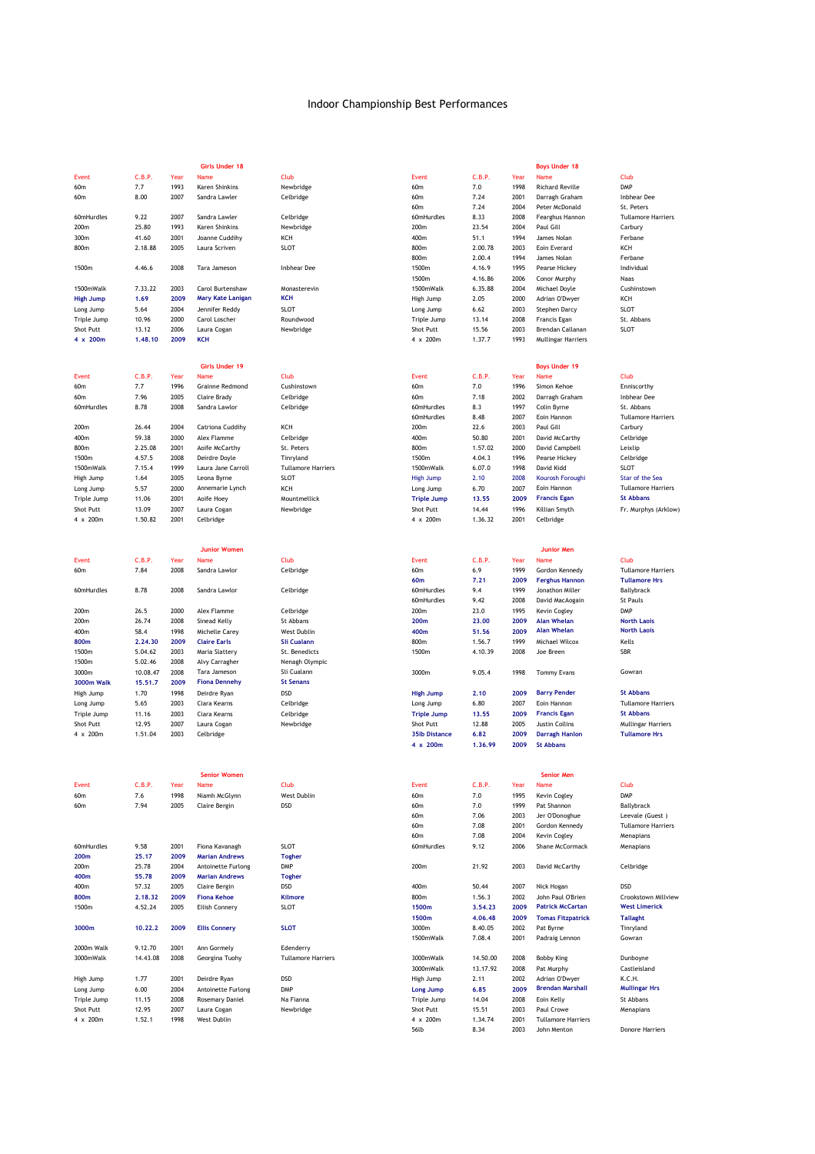|                   |          |      | <b>Girls Under 18</b>    |                           |                      |          |              | <b>Boys Under 18</b>      |                           |
|-------------------|----------|------|--------------------------|---------------------------|----------------------|----------|--------------|---------------------------|---------------------------|
| Event             | C.B.P.   | Year | Name                     | Club                      | Event                | C.B.P.   | Year         | Name                      | Club                      |
| 60m               | 7.7      | 1993 | Karen Shinkins           | Newbridge                 | 60m                  | 7.0      | 1998         | <b>Richard Reville</b>    | <b>DMP</b>                |
| 60m               | 8.00     | 2007 | Sandra Lawler            | Celbridge                 | 60m                  | 7.24     | 2001         | Darragh Graham            | Inbhear Dee               |
|                   |          |      |                          |                           | 60m                  | 7.24     | 2004         | Peter McDonald            | St. Peters                |
| 60mHurdles        | 9.22     | 2007 | Sandra Lawler            | Celbridge                 | 60mHurdles           | 8.33     | 2008         | Fearghus Hannon           | <b>Tullamore Harriers</b> |
| 200m              | 25.80    | 1993 | Karen Shinkins           | Newbridge                 | 200m                 | 23.54    | 2004         | Paul Gill                 | Carbury                   |
| 300m              | 41.60    | 2001 | Joanne Cuddihy           | KCH                       | 400m                 | 51.1     | 1994         | James Nolan               | Ferbane                   |
| 800m              | 2.18.88  | 2005 | Laura Scriven            | <b>SLOT</b>               | 800m                 | 2.00.78  | 2003         | Eoin Everard              | KCH                       |
|                   |          |      |                          |                           | 800m                 | 2.00.4   | 1994         | James Nolan               | Ferbane                   |
| 1500m             | 4.46.6   | 2008 | Tara Jameson             | Inbhear Dee               | 1500m                | 4.16.9   | 1995         | Pearse Hickey             | Individual                |
|                   |          |      |                          |                           | 1500m                | 4.16.86  | 2006         | Conor Murphy              | Naas                      |
| 1500mWalk         | 7.33.22  | 2003 | Carol Burtenshaw         | Monasterevin              | 1500mWalk            | 6.35.88  | 2004         | Michael Doyle             | Cushinstown               |
| <b>High Jump</b>  | 1.69     | 2009 | <b>Mary Kate Lanigan</b> | <b>KCH</b>                | High Jump            | 2.05     | 2000         | Adrian O'Dwyer            | KCH                       |
| Long Jump         | 5.64     | 2004 | Jennifer Reddy           | <b>SLOT</b>               | Long Jump            | 6.62     | 2003         | Stephen Darcy             | <b>SLOT</b>               |
| Triple Jump       | 10.96    | 2000 | Carol Loscher            | Roundwood                 | Triple Jump          | 13.14    | 2008         | Francis Egan              | St. Abbans                |
| Shot Putt         | 13.12    | 2006 | Laura Cogan              | Newbridge                 | Shot Putt            | 15.56    | 2003         | Brendan Callanan          | <b>SLOT</b>               |
| 4 x 200m          | 1.48.10  | 2009 | <b>KCH</b>               |                           | 4 x 200m             | 1.37.7   | 1993         | <b>Mullingar Harriers</b> |                           |
|                   |          |      |                          |                           |                      |          |              |                           |                           |
|                   |          |      |                          |                           |                      |          |              |                           |                           |
|                   |          |      | <b>Girls Under 19</b>    |                           |                      |          |              | <b>Boys Under 19</b>      |                           |
| Event             | C.B.P.   | Year | Name                     | Club                      | Event                | C.B.P.   | Year         | Name                      | Club                      |
| 60m               | 7.7      | 1996 | <b>Grainne Redmond</b>   | Cushinstown               | 60m                  | 7.0      | 1996         | Simon Kehoe               | Enniscorthy               |
| 60 <sub>m</sub>   | 7.96     | 2005 | Claire Brady             | Celbridge                 | 60m                  | 7.18     | 2002         | Darragh Graham            | <b>Inbhear</b> Dee        |
| 60mHurdles        | 8.78     | 2008 | Sandra Lawlor            | Celbridge                 | 60mHurdles           | 8.3      | 1997         | Colin Byrne               | St. Abbans                |
|                   |          |      |                          |                           | 60mHurdles           | 8.48     | 2007         | Eoin Hannon               | <b>Tullamore Harriers</b> |
| 200m              | 26.44    | 2004 | Catriona Cuddihy         | KCH                       | 200m                 | 22.6     | 2003         | Paul Gill                 | Carbury                   |
| 400m              | 59.38    | 2000 | Alex Flamme              | Celbridge                 | 400m                 | 50.80    | 2001         | David McCarthy            | Celbridge                 |
| 800m              | 2.25.08  | 2001 | Aoife McCarthy           | St. Peters                | 800m                 | 1.57.02  | 2000         | David Campbell            | Leixlip                   |
| 1500m             | 4.57.5   | 2008 | Deirdre Doyle            | Tinryland                 | 1500m                | 4.04.3   | 1996         | Pearse Hickey             | Celbridge                 |
| 1500mWalk         | 7.15.4   | 1999 | Laura Jane Carroll       | <b>Tullamore Harriers</b> | 1500mWalk            | 6.07.0   | 1998         | David Kidd                | <b>SLOT</b>               |
| High Jump         | 1.64     | 2005 | Leona Byrne              | <b>SLOT</b>               | <b>High Jump</b>     | 2.10     | 2008         | Kourosh Foroughi          | Star of the Sea           |
| Long Jump         | 5.57     | 2000 | Annemarie Lynch          | KCH                       | Long Jump            | 6.70     | 2007         | Eoin Hannon               | <b>Tullamore Harriers</b> |
| Triple Jump       | 11.06    | 2001 | Aoife Hoey               | Mountmellick              | <b>Triple Jump</b>   | 13.55    | 2009         | <b>Francis Egan</b>       | <b>St Abbans</b>          |
| Shot Putt         | 13.09    | 2007 | Laura Cogan              | Newbridge                 | Shot Putt            | 14.44    | 1996         | Killian Smyth             | Fr. Murphys (Arklow)      |
| 4 x 200m          | 1.50.82  | 2001 | Celbridge                |                           | 4 x 200m             | 1.36.32  | 2001         | Celbridge                 |                           |
|                   |          |      |                          |                           |                      |          |              |                           |                           |
|                   |          |      |                          |                           |                      |          |              |                           |                           |
|                   |          |      | <b>Junior Women</b>      |                           |                      |          |              | <b>Junior Men</b>         |                           |
| <b>Event</b>      | C.B.P.   | Year | Name                     | Club                      | Event                | C.B.P.   | Year         | Name                      | Club                      |
| 60m               | 7.84     | 2008 | Sandra Lawlor            | Celbridge                 | 60m                  | 6.9      | 1999         | Gordon Kennedy            | <b>Tullamore Harriers</b> |
|                   |          |      |                          |                           | 60m                  | 7.21     |              |                           | <b>Tullamore Hrs</b>      |
|                   | 8.78     | 2008 |                          |                           | 60mHurdles           |          | 2009<br>1999 | <b>Ferghus Hannon</b>     |                           |
| 60mHurdles        |          |      | Sandra Lawlor            | Celbridge                 |                      | 9.4      |              | Jonathon Miller           | Ballybrack                |
|                   |          |      |                          |                           | 60mHurdles           | 9.42     | 2008         | David MacAogain           | <b>St Pauls</b>           |
| 200m              | 26.5     | 2000 | Alex Flamme              | Celbridge                 | 200m                 | 23.0     | 1995         | Kevin Cogley              | <b>DMP</b>                |
| 200m              | 26.74    | 2008 | Sinead Kelly             | St Abbans                 | 200m                 | 23.00    | 2009         | <b>Alan Whelan</b>        | <b>North Laois</b>        |
| 400m              | 58.4     | 1998 | Michelle Carey           | West Dublin               | 400m                 | 51.56    | 2009         | <b>Alan Whelan</b>        | <b>North Laois</b>        |
| 800m              | 2.24.30  | 2009 | <b>Claire Earls</b>      | <b>Sli Cualann</b>        | 800m                 | 1.56.7   | 1999         | Michael Wilcox            | Kells                     |
| 1500m             | 5.04.62  | 2003 | Maria Slattery           | St. Benedicts             | 1500m                | 4.10.39  | 2008         | Joe Breen                 | <b>SBR</b>                |
| 1500m             | 5.02.46  | 2008 | Alvy Carragher           | Nenagh Olympic            |                      |          |              |                           |                           |
| 3000m             | 10.08.47 | 2008 | Tara Jameson             | Sli Cualann               | 3000m                | 9.05.4   | 1998         | <b>Tommy Evans</b>        | Gowran                    |
| <b>3000m Walk</b> | 15.51.7  | 2009 | <b>Fiona Dennehy</b>     | <b>St Senans</b>          |                      |          |              |                           |                           |
| High Jump         | 1.70     | 1998 | Deirdre Ryan             | <b>DSD</b>                | <b>High Jump</b>     | 2.10     | 2009         | <b>Barry Pender</b>       | <b>St Abbans</b>          |
| Long Jump         | 5.65     | 2003 | Ciara Kearns             | Celbridge                 | Long Jump            | 6.80     | 2007         | Eoin Hannon               | <b>Tullamore Harriers</b> |
| Triple Jump       | 11.16    | 2003 | Ciara Kearns             | Celbridge                 | <b>Triple Jump</b>   | 13.55    | 2009         | <b>Francis Egan</b>       | <b>St Abbans</b>          |
| Shot Putt         | 12.95    | 2007 | Laura Cogan              | Newbridge                 | Shot Putt            | 12.88    | 2005         | Justin Collins            | <b>Mullingar Harriers</b> |
| 4 x 200m          | 1.51.04  | 2003 | Celbridge                |                           | <b>35lb Distance</b> | 6.82     | 2009         | <b>Darragh Hanlon</b>     | <b>Tullamore Hrs</b>      |
|                   |          |      |                          |                           | 4 x 200m             | 1.36.99  | 2009         | <b>St Abbans</b>          |                           |
|                   |          |      |                          |                           |                      |          |              |                           |                           |
|                   |          |      |                          |                           |                      |          |              |                           |                           |
|                   |          |      | <b>Senior Women</b>      |                           |                      |          |              | <b>Senior Men</b>         |                           |
| Event             | C.B.P.   | Year | Name                     | Club                      | Event                | C.B.P.   | Year         | Name                      | Club                      |
| 60m               | 7.6      | 1998 | Niamh McGlynn            | West Dublin               | 60m                  | 7.0      | 1995         | Kevin Cogley              | <b>DMP</b>                |
| 60m               | 7.94     | 2005 | Claire Bergin            | <b>DSD</b>                | 60m                  | 7.0      | 1999         | Pat Shannon               | Ballybrack                |
|                   |          |      |                          |                           | 60m                  | 7.06     | 2003         | Jer O'Donoghue            | Leevale (Guest)           |
|                   |          |      |                          |                           | 60m                  | 7.08     | 2001         | Gordon Kennedy            | <b>Tullamore Harriers</b> |
|                   |          |      |                          |                           | 60m                  | 7.08     | 2004         | Kevin Cogley              | Menapians                 |
| 60mHurdles        | 9.58     | 2001 | Fiona Kavanagh           | SLOT                      | 60mHurdles           | 9.12     | 2006         | Shane McCormack           | Menapians                 |
| 200m              | 25.17    | 2009 | <b>Marian Andrews</b>    | <b>Togher</b>             |                      |          |              |                           |                           |
| 200m              | 25.78    | 2004 | Antoinette Furlong       | <b>DMP</b>                | 200m                 | 21.92    | 2003         | David McCarthy            | Celbridge                 |
| 400m              | 55.78    | 2009 | <b>Marian Andrews</b>    | <b>Togher</b>             |                      |          |              |                           |                           |
| 400m              | 57.32    | 2005 | Claire Bergin            | DSD                       | 400m                 | 50.44    | 2007         | Nick Hogan                | <b>DSD</b>                |
| 800m              | 2.18.32  | 2009 | <b>Fiona Kehoe</b>       | <b>Kilmore</b>            | 800m                 | 1.56.3   | 2002         | John Paul O'Brien         | Crookstown Millview       |
| 1500m             | 4.52.24  | 2005 | Eilish Connery           | <b>SLOT</b>               | 1500m                | 3.54.23  | 2009         | <b>Patrick McCartan</b>   | <b>West Limerick</b>      |
|                   |          |      |                          |                           | 1500m                | 4.06.48  | 2009         | <b>Tomas Fitzpatrick</b>  | <b>Tallaght</b>           |
| 3000m             | 10.22.2  | 2009 | <b>Ellis Connery</b>     | <b>SLOT</b>               | 3000m                | 8.40.05  | 2002         | Pat Byrne                 | Tinryland                 |
|                   |          |      |                          |                           | 1500mWalk            | 7.08.4   | 2001         | Padraig Lennon            | Gowran                    |
| 2000m Walk        | 9.12.70  | 2001 | Ann Gormely              | Edenderry                 |                      |          |              |                           |                           |
| 3000mWalk         | 14.43.08 | 2008 | Georgina Tuohy           | <b>Tullamore Harriers</b> | 3000mWalk            | 14.50.00 | 2008         | <b>Bobby King</b>         | Dunboyne                  |
|                   |          |      |                          |                           | 3000mWalk            | 13.17.92 | 2008         | Pat Murphy                | Castleisland              |
|                   | 1.77     | 2001 | Deirdre Ryan             | <b>DSD</b>                | High Jump            | 2.11     | 2002         | Adrian O'Dwyer            | K.C.H.                    |
| High Jump         |          | 2004 |                          | <b>DMP</b>                |                      |          | 2009         | <b>Brendan Marshall</b>   | <b>Mullingar Hrs</b>      |
| Long Jump         | 6.00     |      | Antoinette Furlong       |                           | <b>Long Jump</b>     | 6.85     |              |                           |                           |
| Triple Jump       | 11.15    | 2008 | Rosemary Daniel          | Na Fianna                 | Triple Jump          | 14.04    | 2008<br>2003 | Eoin Kelly                | St Abbans                 |
| Shot Putt         | 12.95    | 2007 | Laura Cogan              | Newbridge                 | Shot Putt            | 15.51    |              | Paul Crowe                | Menapians                 |
| 4 x 200m          | 1.52.1   | 1998 | West Dublin              |                           | 4 x 200m             | 1.34.74  | 2001         | <b>Tullamore Harriers</b> |                           |
|                   |          |      |                          |                           | 56lb                 | 8.34     | 2003         | John Menton               | <b>Donore Harriers</b>    |

Donore Harriers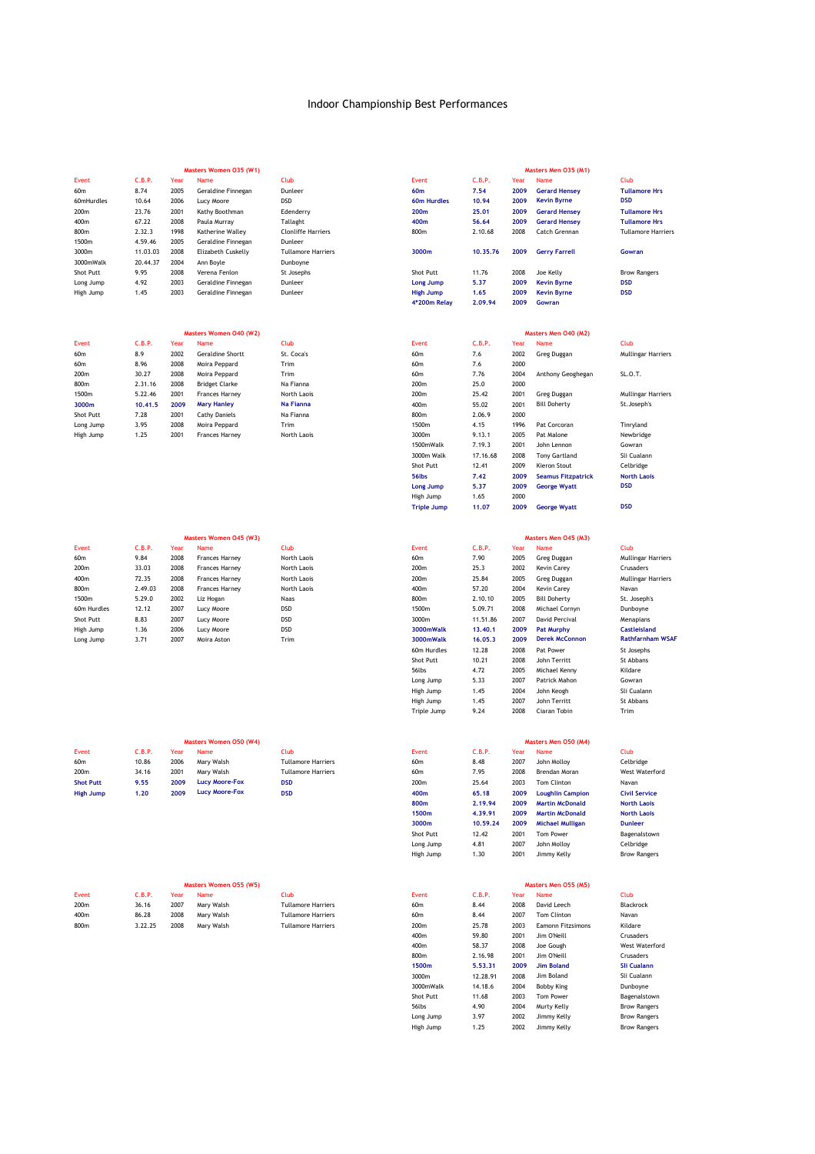|                                 |                |              | Masters Women 035 (W1)       |                           |                                  |                 |              | Masters Men 035 (M1)                       |                                    |
|---------------------------------|----------------|--------------|------------------------------|---------------------------|----------------------------------|-----------------|--------------|--------------------------------------------|------------------------------------|
| Event                           | C.B.P.         | Year         | Name                         | Club                      | Event                            | C.B.P.          | Year         | Name                                       | Club                               |
| 60m                             | 8.74           | 2005         | Geraldine Finnegan           | Dunleer                   | 60m                              | 7.54            | 2009         | <b>Gerard Hensey</b><br><b>Kevin Byrne</b> | <b>Tullamore Hrs</b><br><b>DSD</b> |
| 60mHurdles<br>200m              | 10.64<br>23.76 | 2006<br>2001 | Lucy Moore<br>Kathy Boothman | <b>DSD</b><br>Edenderry   | 60m Hurdles<br>200m              | 10.94<br>25.01  | 2009<br>2009 | <b>Gerard Hensey</b>                       | <b>Tullamore Hrs</b>               |
| 400m                            | 67.22          | 2008         | Paula Murray                 | Tallaght                  | 400m                             | 56.64           | 2009         | <b>Gerard Hensey</b>                       | <b>Tullamore Hrs</b>               |
| 800m                            | 2.32.3         | 1998         | Katherine Walley             | <b>Clonliffe Harriers</b> | 800m                             | 2.10.68         | 2008         | Catch Grennan                              | <b>Tullamore Harriers</b>          |
| 1500m                           | 4.59.46        | 2005         | Geraldine Finnegan           | Dunleer                   |                                  |                 |              |                                            |                                    |
| 3000m                           | 11.03.03       | 2008         | Elizabeth Cuskelly           | <b>Tullamore Harriers</b> | 3000m                            | 10.35.76        | 2009         | <b>Gerry Farrell</b>                       | Gowran                             |
| 3000mWalk                       | 20.44.37       | 2004         | Ann Boyle                    | Dunboyne                  |                                  |                 |              |                                            |                                    |
| Shot Putt                       | 9.95           | 2008         | Verena Fenlon                | St Josephs                | Shot Putt                        | 11.76           | 2008         | Joe Kelly                                  | <b>Brow Rangers</b>                |
| Long Jump                       | 4.92           | 2003         | Geraldine Finnegan           | Dunleer                   | <b>Long Jump</b>                 | 5.37            | 2009         | <b>Kevin Byrne</b>                         | <b>DSD</b>                         |
| High Jump                       | 1.45           | 2003         | Geraldine Finnegan           | Dunleer                   | <b>High Jump</b><br>4*200m Relay | 1.65<br>2.09.94 | 2009<br>2009 | <b>Kevin Byrne</b><br>Gowran               | <b>DSD</b>                         |
|                                 |                |              |                              |                           |                                  |                 |              |                                            |                                    |
|                                 |                |              | Masters Women 040 (W2)       |                           |                                  |                 |              | Masters Men 040 (M2)                       |                                    |
| <b>Event</b><br>60 <sub>m</sub> | C.B.P.<br>8.9  | Year<br>2002 | Name<br>Geraldine Shortt     | Club<br>St. Coca's        | Event<br>60m                     | C.B.P.<br>7.6   | Year<br>2002 | Name<br>Greg Duggan                        | Club<br>Mullingar Harriers         |
| 60m                             | 8.96           | 2008         | Moira Peppard                | Trim                      | 60m                              | 7.6             | 2000         |                                            |                                    |
| 200m                            | 30.27          | 2008         | Moira Peppard                | Trim                      | 60 <sub>m</sub>                  | 7.76            | 2004         | Anthony Geoghegan                          | SL.O.T.                            |
| 800m                            | 2.31.16        | 2008         | <b>Bridget Clarke</b>        | Na Fianna                 | 200m                             | 25.0            | 2000         |                                            |                                    |
| 1500m                           | 5.22.46        | 2001         | Frances Harney               | North Laois               | 200m                             | 25.42           | 2001         | Greg Duggan                                | <b>Mullingar Harriers</b>          |
| 3000m                           | 10.41.5        | 2009         | <b>Mary Hanley</b>           | Na Fianna                 | 400m                             | 55.02           | 2001         | <b>Bill Doherty</b>                        | St.Joseph's                        |
| Shot Putt                       | 7.28           | 2001         | <b>Cathy Daniels</b>         | Na Fianna                 | 800m                             | 2.06.9          | 2000         |                                            |                                    |
| Long Jump                       | 3.95           | 2008         | Moira Peppard                | Trim                      | 1500m                            | 4.15            | 1996         | Pat Corcoran                               | Tinryland                          |
| High Jump                       | 1.25           | 2001         | <b>Frances Harney</b>        | North Laois               | 3000m                            | 9.13.1          | 2005         | Pat Malone                                 | Newbridge                          |
|                                 |                |              |                              |                           | 1500mWalk                        | 7.19.3          | 2001         | John Lennon                                | Gowran                             |
|                                 |                |              |                              |                           | 3000m Walk                       | 17.16.68        | 2008         | <b>Tony Gartland</b>                       | Sli Cualann                        |
|                                 |                |              |                              |                           | Shot Putt                        | 12.41           | 2009         | Kieron Stout                               | Celbridge                          |
|                                 |                |              |                              |                           | 56lbs                            | 7.42<br>5.37    | 2009<br>2009 | <b>Seamus Fitzpatrick</b>                  | <b>North Laois</b><br><b>DSD</b>   |
|                                 |                |              |                              |                           | Long Jump<br>High Jump           | 1.65            | 2000         | <b>George Wyatt</b>                        |                                    |
|                                 |                |              |                              |                           | <b>Triple Jump</b>               | 11.07           | 2009         | <b>George Wyatt</b>                        | <b>DSD</b>                         |
|                                 |                |              |                              |                           |                                  |                 |              |                                            |                                    |
|                                 |                |              | Masters Women 045 (W3)       |                           |                                  |                 |              | Masters Men O45 (M3)                       |                                    |
| Event                           | C.B.P.         | Year         | Name                         | Club                      | Event                            | C.B.P.          | Year         | Name                                       | Club                               |
| 60m                             | 9.84           | 2008         | Frances Harney               | North Laois               | 60m                              | 7.90            | 2005         | Greg Duggan                                | <b>Mullingar Harriers</b>          |
| 200m                            | 33.03          | 2008         | Frances Harney               | North Laois               | 200m                             | 25.3            | 2002         | Kevin Carey                                | Crusaders                          |
| 400m                            | 72.35          | 2008         | Frances Harney               | North Laois               | 200m                             | 25.84           | 2005         | Greg Duggan                                | <b>Mullingar Harriers</b>          |
| 800m                            | 2.49.03        | 2008         | <b>Frances Harney</b>        | North Laois               | 400m                             | 57.20           | 2004         | Kevin Carey                                | Navan                              |
| 1500m                           | 5.29.0         | 2002         | Liz Hogan                    | Naas                      | 800m                             | 2.10.10         | 2005         | <b>Bill Doherty</b>                        | St. Joseph's                       |
| 60m Hurdles                     | 12.12          | 2007         | Lucy Moore                   | <b>DSD</b>                | 1500m                            | 5.09.71         | 2008         | Michael Cornyn                             | Dunboyne                           |
| Shot Putt                       | 8.83           | 2007         | Lucy Moore                   | <b>DSD</b>                | 3000m                            | 11.51.86        | 2007         | David Percival                             | Menapians                          |
| High Jump                       | 1.36           | 2006         | Lucy Moore                   | <b>DSD</b>                | 3000mWalk                        | 13.40.1         | 2009         | <b>Pat Murphy</b>                          | Castleisland                       |
| Long Jump                       | 3.71           | 2007         | Moira Aston                  | Trim                      | 3000mWalk                        | 16.05.3         | 2009         | <b>Derek McConnon</b>                      | <b>Rathfarnham WSAF</b>            |
|                                 |                |              |                              |                           | 60m Hurdles                      | 12.28           | 2008         | Pat Power                                  | St Josephs                         |
|                                 |                |              |                              |                           | Shot Putt<br>56lbs               | 10.21<br>4.72   | 2008<br>2005 | John Territt<br>Michael Kenny              | St Abbans<br>Kildare               |
|                                 |                |              |                              |                           | Long Jump                        | 5.33            | 2007         | Patrick Mahon                              | Gowran                             |
|                                 |                |              |                              |                           | High Jump                        | 1.45            | 2004         | John Keogh                                 | Sli Cualann                        |
|                                 |                |              |                              |                           | High Jump                        | 1.45            | 2007         | John Territt                               | St Abbans                          |
|                                 |                |              |                              |                           | Triple Jump                      | 9.24            | 2008         | Ciaran Tobin                               | Trim                               |
|                                 |                |              |                              |                           |                                  |                 |              |                                            |                                    |
|                                 |                |              | Masters Women 050 (W4)       |                           |                                  |                 |              | Masters Men O50 (M4)                       |                                    |
| Event                           | C.B.P.         | Year         | Name                         | Club                      | Event                            | C.B.P.          | Year         | Name                                       | Club                               |
| 60m                             | 10.86          | 2006         | Mary Walsh                   | <b>Tullamore Harriers</b> | 60m                              | 8.48            | 2007         | John Molloy                                | Celbridge                          |
| 200m                            | 34.16          | 2001         | Mary Walsh                   | <b>Tullamore Harriers</b> | 60m                              | 7.95            | 2008         | Brendan Moran                              | West Waterford                     |
| <b>Shot Putt</b>                | 9.55           | 2009         | <b>Lucy Moore-Fox</b>        | <b>DSD</b>                | 200m                             | 25.64           | 2003         | Tom Clinton                                | Navan                              |
| <b>High Jump</b>                | 1.20           | 2009         | <b>Lucy Moore-Fox</b>        | <b>DSD</b>                | 400m                             | 65.18           | 2009         | <b>Loughlin Campion</b>                    | <b>Civil Service</b>               |
|                                 |                |              |                              |                           | 800m                             | 2.19.94         | 2009         | <b>Martin McDonald</b>                     | <b>North Laois</b>                 |
|                                 |                |              |                              |                           | 1500m                            | 4.39.91         | 2009         | <b>Martin McDonald</b>                     | <b>North Laois</b>                 |
|                                 |                |              |                              |                           | 3000m                            | 10.59.24        | 2009         | <b>Michael Mulligan</b>                    | <b>Dunleer</b>                     |
|                                 |                |              |                              |                           | Shot Putt                        | 12.42           | 2001         | <b>Tom Power</b>                           | Bagenalstown                       |
|                                 |                |              |                              |                           | Long Jump                        | 4.81            | 2007         | John Molloy                                | Celbridge                          |
|                                 |                |              |                              |                           | High Jump                        | 1.30            | 2001         | Jimmy Kelly                                | <b>Brow Rangers</b>                |
|                                 |                |              |                              |                           |                                  |                 |              |                                            |                                    |
|                                 |                |              | Masters Women 055 (W5)       |                           |                                  |                 |              | Masters Men O55 (M5)                       |                                    |
| Event                           | C.B.P.         | Year         | Name                         | Club                      | Event                            | C.B.P.          | Year         | Name                                       | Club                               |

400 2001 2002 2003<br>Jim O'Neill Crusaders 400m 58.37 2008 Joe Gough West Waterford<br>1900m 2.16.98 2001 Jim O'Neill Crusaders<br>1900m 5.53.31 2009 Jim Boland Si Cualann 800m 2.16.98 2001 Jim O'Neill Crusaders 56lbs 4.90 2004 Brow Rangers Long Jump 3.97 2002 Jimmy Kelly Brow Rangers High Jump 1.25 2002 Jimmy Kelly Brow Rangers Eamonn Fitzsimons Kildare **Jim Boland Sli Cualann** Jim Boland Sli Cualann Dunboyne Bagenalstown

2.16.98 2001<br> **5.53.31 2009**<br>
12.28.91 2008<br>
14.18.6 2004

Joe Gough

Murty Kelly<br>Murty Kelly<br>Jimmy Kelly

3000mWalk 14.18.6 2004 Bobby King Shot Putt 11.68 2003 Tom Power<br>
Shot Putt 11.68 2003 Tom Power<br>
56lbs 4.90 2004 Murty Kelly<br>
Long Jump 3.97 2002 Jimmy Kelly<br>
High Jump 1.25 2002 Jimmy Kelly

1300m<br>3000m<br>3000mWalk

200m 36.16 2007 Mary Walsh 60m 8.44 2008 David Leech Tullamore Harriers Blackrock 400m 86.28 2008 Mary Walsh 60m 8.44 2007 Tom Clinton Tullamore Harriers Navan 1991 - 1991 - 1991 - 1991 - 1991 - 1991 - 1991 - 1991 - 1991 - 1991 - 1991 - 1991 - 1991 - 1991 - 1991 - 1991<br>
200m - 1992 - 2008 - 2008 - 2008 - 2008 - 2008 - 2008 - 2008 - 2008 - 2008 - 2008 - 2008 - 2008 - 2009 - 2009<br>